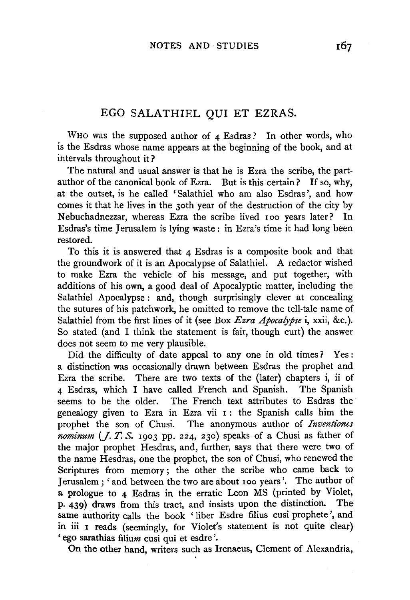## EGO SALATHIEL QUI ET EZRAS.

WHO was the supposed author of 4 Esdras? In other words, who is the Esdras whose name appears at the beginning of the book, and at intervals throughout it?

The natural and usual answer is that he is Ezra the scribe, the partauthor of the canonical book of Ezra. But is this certain? If so, why, at the outset, is he called 'Salathiel who am also Esdras ', and how comes it that he lives in the 3oth year of the destruction of the city by Nebuchadnezzar, whereas Ezra the scribe lived roo years later? In Esdras's time Jerusalem is lying waste : in Ezra's time it had long been restored.

To this it is answered that 4 Esdras is a composite book and that the groundwork of it is an Apocalypse of Salathiel. A redactor wished to make Ezra the vehicle of his message, and put together, with additions of his own, a good deal of Apocalyptic matter, including the Salathiel Apocalypse: and, though surprisingly clever at concealing the sutures of his patchwork, he omitted to remove the tell-tale name of Salathiel from the first lines of it (see Box *Ezra Apocalypse* i, xxii, &c.). So stated (and I think the statement is fair, though curt) the answer does not seem to me very plausible.

Did the difficulty of date appeal to any one in old times ? Yes : a distinction was occasionally drawn between Esdras the prophet and Ezra the scribe. There are two texts of the (later) chapters i, ii of 4 Esdras, which I have called French and Spanish. The Spanish seems to be the older. The French text attributes to Esdras the genealogy given to Ezra in Ezra vii 1 : the Spanish calls him the prophet the son of Chusi. The anonymous author of *Inventiones*   $$ the major prophet Hesdras, and, further, says that there were two of the name Hesdras, one the prophet, the son of Chusi, who renewed the Scriptures from memory; the other the scribe who came back to Jerusalem; 'and between the two are about roo years'. The author of a prologue to 4 Esdras in the erratic Leon MS (printed by Violet, p. 439) draws from this tract, and insists upon the distinction. The same authority calls the book 'liber Esdre filius cusi prophete', and in iii I reads (seemingly, for Violet's statement is not quite clear) 'ego sarathias filium cusi qui et esdre '.

On the other hand, writers such as Irenaeus, Clement of Alexandria,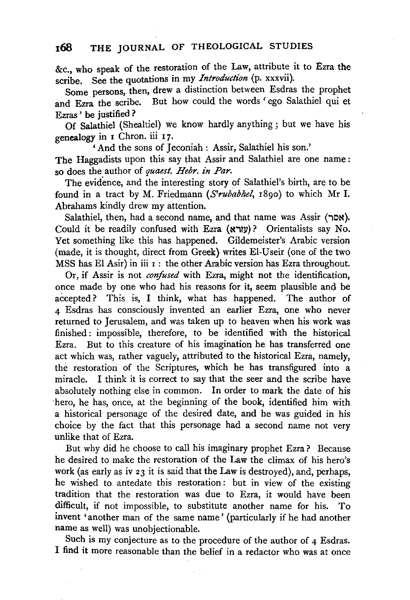## **168 THE** JOURNAL OF THEOLOGICAL STUDIES

&c., who speak of the restoration of the Law, attribute it to Ezra the scribe. See the quotations in my *Introduction* (p. xxxvii).

Some persons, then, drew a distinction between Esdras the prophet and Ezra the scribe. But how could the words ' ego Salathiel qui et Ezras ' be justified ?

Of Salathiel (Shealtiel) we know hardly anything ; but we have his genealogy in I Chron. iii 17.

'And the sons of Jeconiah: Assir, Salathiel his son.' The Haggadists upon this say that Assir and Salathiel are one name: so does the author of *quaest. Hebr. in Par.* 

The evidence, and the interesting story of Salathiel's birth, are to be found in a tract by M. Friedmann ( $Srubabhel$ , 1890) to which Mr I. Abrahams kindly drew my attention.

Salathiel, then, had a second name, and that name was Assir  $(\neg \infty)$ . Could it be readily confused with Ezra (עורא)? Orientalists say No. Yet something like this has happened. Gildemeister's Arabic version (made, it is thought, direct from Greek) writes El-Useir (one of the two MSS has El Asir) in iii  $\tau$ : the other Arabic version has Ezra throughout.

Or, if Assir is not *confused* with Ezra, might not the identification, once made by one who had his reasons for it, seem plausible and be accepted? This is, I think, what has happened. The author of 4 Esdras has consciously invented an earlier Ezra, one who never returned to Jerusalem, and was taken up to heaven when his work was finished : impossible, therefore, to be identified with the historical Ezra. But to this creature of his imagination he has transferred one act which was, rather vaguely, attributed to the historical Ezra, namely, the restoration of the Scriptures, which he has transfigured into a miracle. I think it is correct to say that the seer and the scribe have absolutely nothing else in common. In order to mark the date of his ·hero, he has, once, at the beginning of the book, identified him with a historical personage of the desired date, and he was guided in his choice by the fact that this personage had a second name not very unlike that of Ezra.

But why did he choose to call his imaginary prophet Ezra? Because he desired to make the restoration of the Law the climax of his hero's work (as early as iv 23 it is said that the Law is destroyed), and, perhaps, he wished to antedate this restoration : but in view of the existing tradition that the restoration was due to Ezra, it would have been difficult, if not impossible, to substitute another name for his. To invent 'another man of the same name' (particularly if he had another name as well) was unobjectionable.

Such is my conjecture as to the procedure of the author of 4 Esdras. I find it more reasonable than the belief in a redactor who was at once